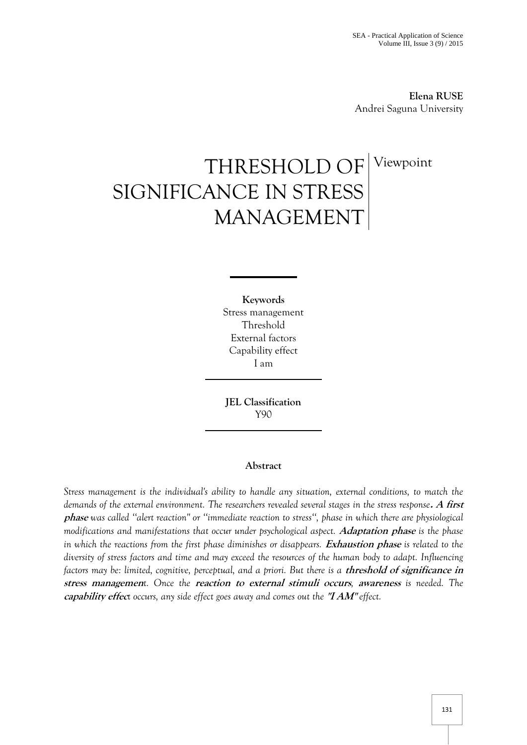**Elena RUSE** Andrei Saguna University

# THRESHOLD OF SIGNIFICANCE IN STRESS MANAGEMENT Viewpoint

**Keywords** Stress management Threshold External factors Capability effect I am

**JEL Classification**  Y90

# **Abstract**

*Stress management is the individual's ability to handle any situation, external conditions, to match the demands of the external environment. The researchers revealed several stages in the stress response***. A first phase** *was called ''alert reaction'' or ''immediate reaction to stress'', phase in which there are physiological modifications and manifestations that occur under psychological aspect.* **Adaptation phase** *is the phase in which the reactions from the first phase diminishes or disappears. Exhaustion phase is related to the diversity of stress factors and time and may exceed the resources of the human body to adapt. Influencing factors may be: limited, cognitive, perceptual, and a priori. But there is a <i>threshold of significance in* **stress managemen***t. Once the* **reaction to external stimuli occurs***,* **awareness** *is needed. The*  **capability effec***t occurs, any side effect goes away and comes out the* **''I AM''** *effect.*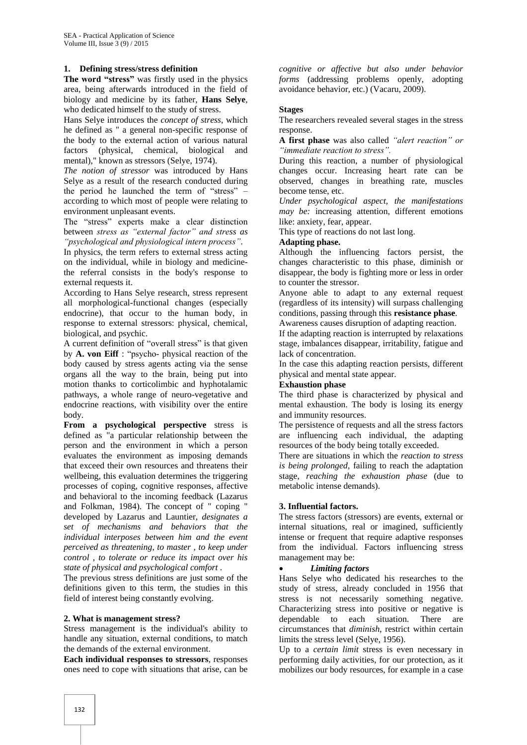# **1. Defining stress/stress definition**

**The word "stress"** was firstly used in the physics area, being afterwards introduced in the field of biology and medicine by its father, **Hans Selye**, who dedicated himself to the study of stress.

Hans Selye introduces the *concept of stress*, which he defined as " a general non-specific response of the body to the external action of various natural factors (physical, chemical, biological and mental)," known as stressors (Selye, 1974).

*The notion of stressor* was introduced by Hans Selye as a result of the research conducted during the period he launched the term of "stress" – according to which most of people were relating to environment unpleasant events.

The "stress" experts make a clear distinction between *stress as "external factor" and stress as "psychological and physiological intern process"*.

In physics, the term refers to external stress acting on the individual, while in biology and medicinethe referral consists in the body's response to external requests it.

According to Hans Selye research, stress represent all morphological-functional changes (especially endocrine), that occur to the human body, in response to external stressors: physical, chemical, biological, and psychic.

A current definition of "overall stress" is that given by **A. von Eiff** : "psycho- physical reaction of the body caused by stress agents acting via the sense organs all the way to the brain, being put into motion thanks to corticolimbic and hyphotalamic pathways, a whole range of neuro-vegetative and endocrine reactions, with visibility over the entire body.

**From a psychological perspective** stress is defined as "a particular relationship between the person and the environment in which a person evaluates the environment as imposing demands that exceed their own resources and threatens their wellbeing, this evaluation determines the triggering processes of coping, cognitive responses, affective and behavioral to the incoming feedback (Lazarus and Folkman, 1984). The concept of " coping " developed by Lazarus and Launtier, *designates a set of mechanisms and behaviors that the individual interposes between him and the event perceived as threatening, to master , to keep under control , to tolerate or reduce its impact over his state of physical and psychological comfort* .

The previous stress definitions are just some of the definitions given to this term, the studies in this field of interest being constantly evolving.

#### **2. What is management stress?**

Stress management is the individual's ability to handle any situation, external conditions, to match the demands of the external environment.

**Each individual responses to stressors**, responses ones need to cope with situations that arise, can be

*cognitive or affective but also under behavior forms* (addressing problems openly, adopting avoidance behavior, etc.) (Vacaru, 2009).

## **Stages**

The researchers revealed several stages in the stress response.

**A first phase** was also called *"alert reaction" or "immediate reaction to stress".*

During this reaction, a number of physiological changes occur. Increasing heart rate can be observed, changes in breathing rate, muscles become tense, etc.

*Under psychological aspect, the manifestations may be:* increasing attention, different emotions like: anxiety, fear, appear.

This type of reactions do not last long.

## **Adapting phase.**

Although the influencing factors persist, the changes characteristic to this phase, diminish or disappear, the body is fighting more or less in order to counter the stressor.

Anyone able to adapt to any external request (regardless of its intensity) will surpass challenging conditions, passing through this **resistance phase**.

Awareness causes disruption of adapting reaction. If the adapting reaction is interrupted by relaxations stage, imbalances disappear, irritability, fatigue and lack of concentration.

In the case this adapting reaction persists, different physical and mental state appear.

#### **Exhaustion phase**

The third phase is characterized by physical and mental exhaustion. The body is losing its energy and immunity resources.

The persistence of requests and all the stress factors are influencing each individual, the adapting resources of the body being totally exceeded.

There are situations in which the *reaction to stress is being prolonged*, failing to reach the adaptation stage, *reaching the exhaustion phase* (due to metabolic intense demands).

#### **3. Influential factors.**

The stress factors (stressors) are events, external or internal situations, real or imagined, sufficiently intense or frequent that require adaptive responses from the individual. Factors influencing stress management may be:

#### *Limiting factors*

Hans Selye who dedicated his researches to the study of stress, already concluded in 1956 that stress is not necessarily something negative. Characterizing stress into positive or negative is dependable to each situation. There are circumstances that *diminish*, restrict within certain limits the stress level (Selye, 1956).

Up to a *certain limit* stress is even necessary in performing daily activities, for our protection, as it mobilizes our body resources, for example in a case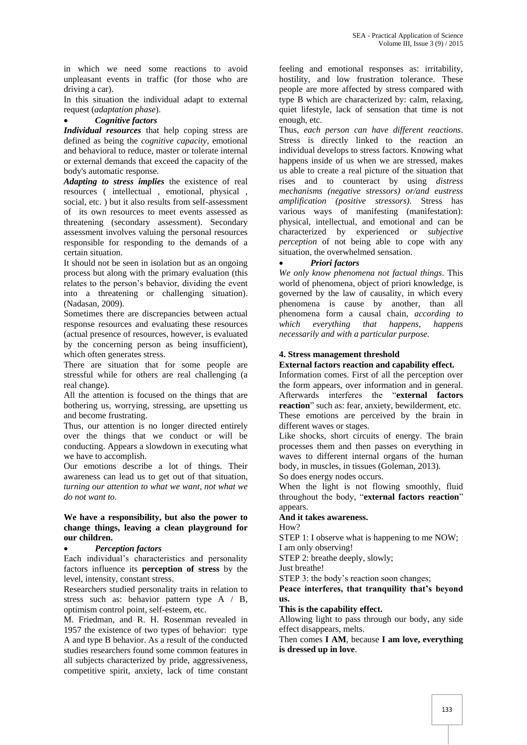in which we need some reactions to avoid unpleasant events in traffic (for those who are driving a car).

In this situation the individual adapt to external request (*adaptation phase*).

# *Cognitive factors*

*Individual resources* that help coping stress are defined as being the *cognitive capacity*, emotional and behavioral to reduce, master or tolerate internal or external demands that exceed the capacity of the body's automatic response.

*Adapting to stress implies* the existence of real resources ( intellectual , emotional, physical , social, etc. ) but it also results from self-assessment of its own resources to meet events assessed as threatening (secondary assessment). Secondary assessment involves valuing the personal resources responsible for responding to the demands of a certain situation.

It should not be seen in isolation but as an ongoing process but along with the primary evaluation (this relates to the person's behavior, dividing the event into a threatening or challenging situation). (Nadasan, 2009).

Sometimes there are discrepancies between actual response resources and evaluating these resources (actual presence of resources, however, is evaluated by the concerning person as being insufficient), which often generates stress.

There are situation that for some people are stressful while for others are real challenging (a real change).

All the attention is focused on the things that are bothering us, worrying, stressing, are upsetting us and become frustrating.

Thus, our attention is no longer directed entirely over the things that we conduct or will be conducting. Appears a slowdown in executing what we have to accomplish.

Our emotions describe a lot of things. Their awareness can lead us to get out of that situation, *turning our attention to what we want, not what we do not want to*.

# **We have a responsibility, but also the power to change things, leaving a clean playground for our children.**

# *Perception factors*

Each individual's characteristics and personality factors influence its **perception of stress** by the level, intensity, constant stress.

Researchers studied personality traits in relation to stress such as: behavior pattern type A / B, optimism control point, self-esteem, etc.

M. Friedman, and R. H. Rosenman revealed in 1957 the existence of two types of behavior: type A and type B behavior. As a result of the conducted studies researchers found some common features in all subjects characterized by pride, aggressiveness, competitive spirit, anxiety, lack of time constant

feeling and emotional responses as: irritability, hostility, and low frustration tolerance. These people are more affected by stress compared with type B which are characterized by: calm, relaxing, quiet lifestyle, lack of sensation that time is not enough, etc.

Thus, *each person can have different reactions*. Stress is directly linked to the reaction an individual develops to stress factors. Knowing what happens inside of us when we are stressed, makes us able to create a real picture of the situation that rises and to counteract by using *distress mechanisms (negative stressors) or/and eustress amplification (positive stressors).* Stress has various ways of manifesting (manifestation): physical, intellectual, and emotional and can be characterized by experienced or *subjective perception* of not being able to cope with any situation, the overwhelmed sensation.

# *Priori factors*

*We only know phenomena not factual things*. This world of phenomena, object of priori knowledge, is governed by the law of causality, in which every phenomena is cause by another, than all phenomena form a causal chain, *according to which everything that happens, happens necessarily and with a particular purpose.*

# **4. Stress management threshold**

# **External factors reaction and capability effect.**

Information comes. First of all the perception over the form appears, over information and in general. Afterwards interferes the "**external factors reaction**" such as: fear, anxiety, bewilderment, etc. These emotions are perceived by the brain in different waves or stages.

Like shocks, short circuits of energy. The brain processes them and then passes on everything in waves to different internal organs of the human body, in muscles, in tissues (Goleman, 2013).

So does energy nodes occurs.

When the light is not flowing smoothly, fluid throughout the body, "**external factors reaction**" appears.

# **And it takes awareness.**

How?

STEP 1: I observe what is happening to me NOW; I am only observing!

STEP 2: breathe deeply, slowly;

Just breathe!

STEP 3: the body's reaction soon changes;

**Peace interferes, that tranquility that's beyond us.**

# **This is the capability effect.**

Allowing light to pass through our body, any side effect disappears, melts.

Then comes **I AM**, because **I am love, everything is dressed up in love**.